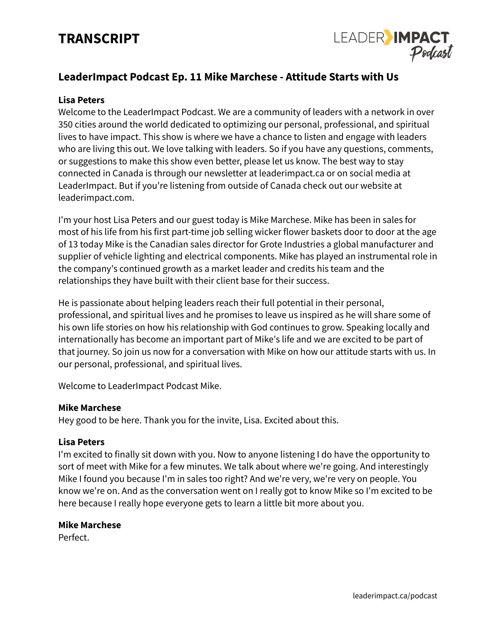# **TRANSCRIPT**



# **LeaderImpact Podcast Ep. 11 Mike Marchese - Attitude Starts with Us**

#### **Lisa Peters**

Welcome to the LeaderImpact Podcast. We are a community of leaders with a network in over 350 cities around the world dedicated to optimizing our personal, professional, and spiritual lives to have impact. This show is where we have a chance to listen and engage with leaders who are living this out. We love talking with leaders. So if you have any questions, comments, or suggestions to make this show even better, please let us know. The best way to stay connected in Canada is through our newsletter at leaderimpact.ca or on social media at LeaderImpact. But if you're listening from outside of Canada check out our website at leaderimpact.com.

I'm your host Lisa Peters and our guest today is Mike Marchese. Mike has been in sales for most of his life from his first part-time job selling wicker flower baskets door to door at the age of 13 today Mike is the Canadian sales director for Grote Industries a global manufacturer and supplier of vehicle lighting and electrical components. Mike has played an instrumental role in the company's continued growth as a market leader and credits his team and the relationships they have built with their client base for their success.

He is passionate about helping leaders reach their full potential in their personal, professional, and spiritual lives and he promises to leave us inspired as he will share some of his own life stories on how his relationship with God continues to grow. Speaking locally and internationally has become an important part of Mike's life and we are excited to be part of that journey. So join us now for a conversation with Mike on how our attitude starts with us. In our personal, professional, and spiritual lives.

Welcome to LeaderImpact Podcast Mike.

#### **Mike Marchese**

Hey good to be here. Thank you for the invite, Lisa. Excited about this.

#### **Lisa Peters**

I'm excited to finally sit down with you. Now to anyone listening I do have the opportunity to sort of meet with Mike for a few minutes. We talk about where we're going. And interestingly Mike I found you because I'm in sales too right? And we're very, we're very on people. You know we're on. And as the conversation went on I really got to know Mike so I'm excited to be here because I really hope everyone gets to learn a little bit more about you.

#### **Mike Marchese**

Perfect.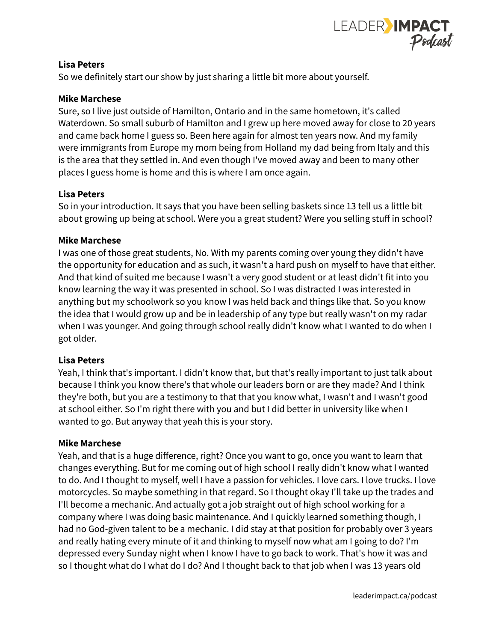

So we definitely start our show by just sharing a little bit more about yourself.

# **Mike Marchese**

Sure, so I live just outside of Hamilton, Ontario and in the same hometown, it's called Waterdown. So small suburb of Hamilton and I grew up here moved away for close to 20 years and came back home I guess so. Been here again for almost ten years now. And my family were immigrants from Europe my mom being from Holland my dad being from Italy and this is the area that they settled in. And even though I've moved away and been to many other places I guess home is home and this is where I am once again.

# **Lisa Peters**

So in your introduction. It says that you have been selling baskets since 13 tell us a little bit about growing up being at school. Were you a great student? Were you selling stuff in school?

### **Mike Marchese**

I was one of those great students, No. With my parents coming over young they didn't have the opportunity for education and as such, it wasn't a hard push on myself to have that either. And that kind of suited me because I wasn't a very good student or at least didn't fit into you know learning the way it was presented in school. So I was distracted I was interested in anything but my schoolwork so you know I was held back and things like that. So you know the idea that I would grow up and be in leadership of any type but really wasn't on my radar when I was younger. And going through school really didn't know what I wanted to do when I got older.

# **Lisa Peters**

Yeah, I think that's important. I didn't know that, but that's really important to just talk about because I think you know there's that whole our leaders born or are they made? And I think they're both, but you are a testimony to that that you know what, I wasn't and I wasn't good at school either. So I'm right there with you and but I did better in university like when I wanted to go. But anyway that yeah this is your story.

#### **Mike Marchese**

Yeah, and that is a huge difference, right? Once you want to go, once you want to learn that changes everything. But for me coming out of high school I really didn't know what I wanted to do. And I thought to myself, well I have a passion for vehicles. I love cars. I love trucks. I love motorcycles. So maybe something in that regard. So I thought okay I'll take up the trades and I'll become a mechanic. And actually got a job straight out of high school working for a company where I was doing basic maintenance. And I quickly learned something though, I had no God-given talent to be a mechanic. I did stay at that position for probably over 3 years and really hating every minute of it and thinking to myself now what am I going to do? I'm depressed every Sunday night when I know I have to go back to work. That's how it was and so I thought what do I what do I do? And I thought back to that job when I was 13 years old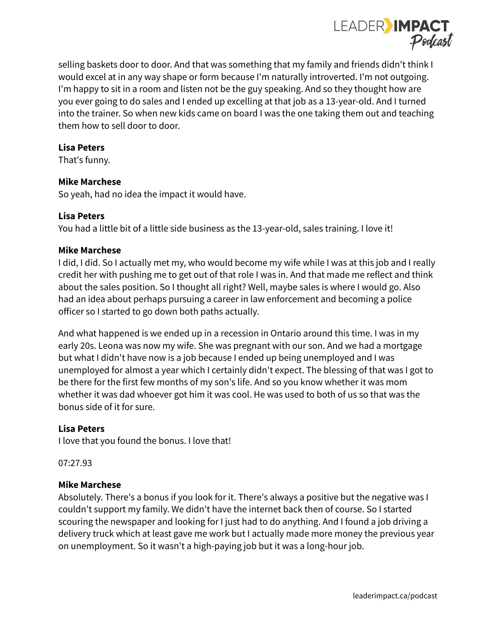

selling baskets door to door. And that was something that my family and friends didn't think I would excel at in any way shape or form because I'm naturally introverted. I'm not outgoing. I'm happy to sit in a room and listen not be the guy speaking. And so they thought how are you ever going to do sales and I ended up excelling at that job as a 13-year-old. And I turned into the trainer. So when new kids came on board I was the one taking them out and teaching them how to sell door to door.

### **Lisa Peters**

That's funny.

# **Mike Marchese**

So yeah, had no idea the impact it would have.

### **Lisa Peters**

You had a little bit of a little side business as the 13-year-old, sales training. I love it!

### **Mike Marchese**

I did, I did. So I actually met my, who would become my wife while I was at this job and I really credit her with pushing me to get out of that role I was in. And that made me reflect and think about the sales position. So I thought all right? Well, maybe sales is where I would go. Also had an idea about perhaps pursuing a career in law enforcement and becoming a police officer so I started to go down both paths actually.

And what happened is we ended up in a recession in Ontario around this time. I was in my early 20s. Leona was now my wife. She was pregnant with our son. And we had a mortgage but what I didn't have now is a job because I ended up being unemployed and I was unemployed for almost a year which I certainly didn't expect. The blessing of that was I got to be there for the first few months of my son's life. And so you know whether it was mom whether it was dad whoever got him it was cool. He was used to both of us so that was the bonus side of it for sure.

# **Lisa Peters**

I love that you found the bonus. I love that!

07:27.93

#### **Mike Marchese**

Absolutely. There's a bonus if you look for it. There's always a positive but the negative was I couldn't support my family. We didn't have the internet back then of course. So I started scouring the newspaper and looking for I just had to do anything. And I found a job driving a delivery truck which at least gave me work but I actually made more money the previous year on unemployment. So it wasn't a high-paying job but it was a long-hour job.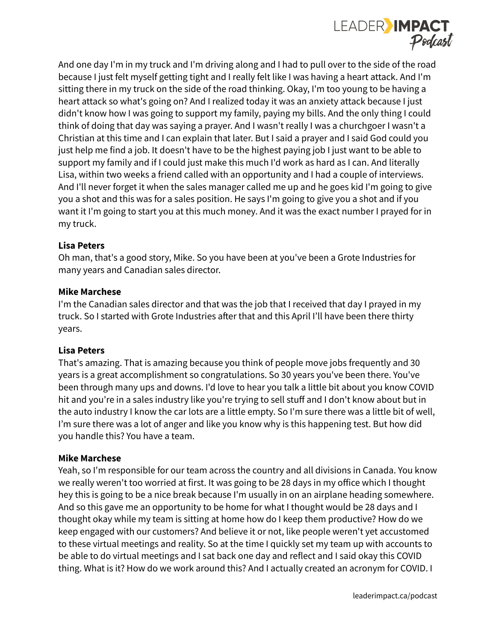

And one day I'm in my truck and I'm driving along and I had to pull over to the side of the road because I just felt myself getting tight and I really felt like I was having a heart attack. And I'm sitting there in my truck on the side of the road thinking. Okay, I'm too young to be having a heart attack so what's going on? And I realized today it was an anxiety attack because I just didn't know how I was going to support my family, paying my bills. And the only thing I could think of doing that day was saying a prayer. And I wasn't really I was a churchgoer I wasn't a Christian at this time and I can explain that later. But I said a prayer and I said God could you just help me find a job. It doesn't have to be the highest paying job I just want to be able to support my family and if I could just make this much I'd work as hard as I can. And literally Lisa, within two weeks a friend called with an opportunity and I had a couple of interviews. And I'll never forget it when the sales manager called me up and he goes kid I'm going to give you a shot and this was for a sales position. He says I'm going to give you a shot and if you want it I'm going to start you at this much money. And it was the exact number I prayed for in my truck.

# **Lisa Peters**

Oh man, that's a good story, Mike. So you have been at you've been a Grote Industries for many years and Canadian sales director.

# **Mike Marchese**

I'm the Canadian sales director and that was the job that I received that day I prayed in my truck. So I started with Grote Industries after that and this April I'll have been there thirty years.

# **Lisa Peters**

That's amazing. That is amazing because you think of people move jobs frequently and 30 years is a great accomplishment so congratulations. So 30 years you've been there. You've been through many ups and downs. I'd love to hear you talk a little bit about you know COVID hit and you're in a sales industry like you're trying to sell stuff and I don't know about but in the auto industry I know the car lots are a little empty. So I'm sure there was a little bit of well, I'm sure there was a lot of anger and like you know why is this happening test. But how did you handle this? You have a team.

#### **Mike Marchese**

Yeah, so I'm responsible for our team across the country and all divisions in Canada. You know we really weren't too worried at first. It was going to be 28 days in my office which I thought hey this is going to be a nice break because I'm usually in on an airplane heading somewhere. And so this gave me an opportunity to be home for what I thought would be 28 days and I thought okay while my team is sitting at home how do I keep them productive? How do we keep engaged with our customers? And believe it or not, like people weren't yet accustomed to these virtual meetings and reality. So at the time I quickly set my team up with accounts to be able to do virtual meetings and I sat back one day and reflect and I said okay this COVID thing. What is it? How do we work around this? And I actually created an acronym for COVID. I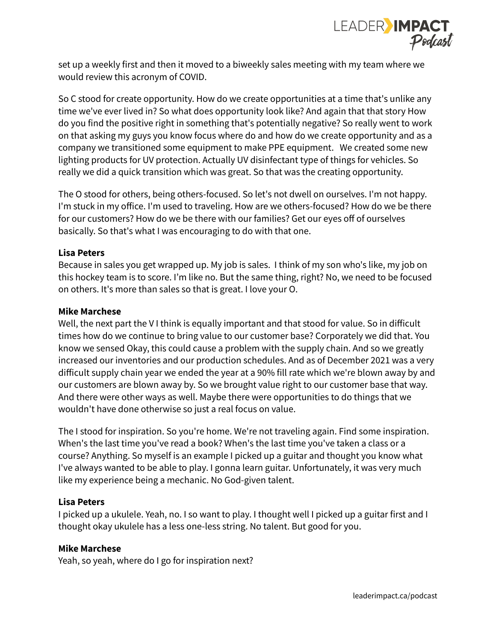

set up a weekly first and then it moved to a biweekly sales meeting with my team where we would review this acronym of COVID.

So C stood for create opportunity. How do we create opportunities at a time that's unlike any time we've ever lived in? So what does opportunity look like? And again that that story How do you find the positive right in something that's potentially negative? So really went to work on that asking my guys you know focus where do and how do we create opportunity and as a company we transitioned some equipment to make PPE equipment. We created some new lighting products for UV protection. Actually UV disinfectant type of things for vehicles. So really we did a quick transition which was great. So that was the creating opportunity.

The O stood for others, being others-focused. So let's not dwell on ourselves. I'm not happy. I'm stuck in my office. I'm used to traveling. How are we others-focused? How do we be there for our customers? How do we be there with our families? Get our eyes off of ourselves basically. So that's what I was encouraging to do with that one.

# **Lisa Peters**

Because in sales you get wrapped up. My job is sales. I think of my son who's like, my job on this hockey team is to score. I'm like no. But the same thing, right? No, we need to be focused on others. It's more than sales so that is great. I love your O.

#### **Mike Marchese**

Well, the next part the V I think is equally important and that stood for value. So in difficult times how do we continue to bring value to our customer base? Corporately we did that. You know we sensed Okay, this could cause a problem with the supply chain. And so we greatly increased our inventories and our production schedules. And as of December 2021 was a very difficult supply chain year we ended the year at a 90% fill rate which we're blown away by and our customers are blown away by. So we brought value right to our customer base that way. And there were other ways as well. Maybe there were opportunities to do things that we wouldn't have done otherwise so just a real focus on value.

The I stood for inspiration. So you're home. We're not traveling again. Find some inspiration. When's the last time you've read a book? When's the last time you've taken a class or a course? Anything. So myself is an example I picked up a guitar and thought you know what I've always wanted to be able to play. I gonna learn guitar. Unfortunately, it was very much like my experience being a mechanic. No God-given talent.

# **Lisa Peters**

I picked up a ukulele. Yeah, no. I so want to play. I thought well I picked up a guitar first and I thought okay ukulele has a less one-less string. No talent. But good for you.

# **Mike Marchese**

Yeah, so yeah, where do I go for inspiration next?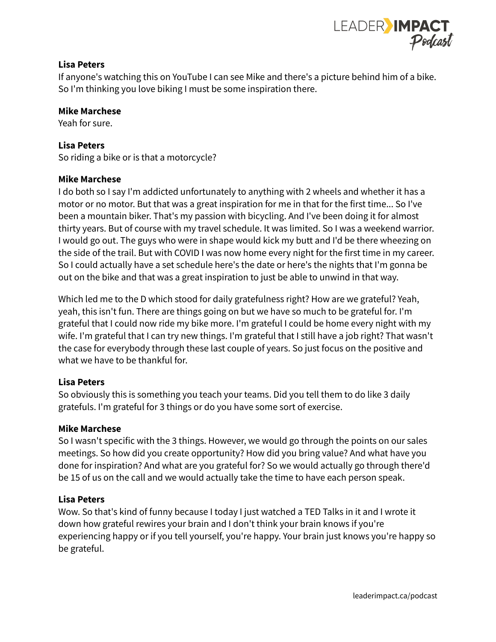

If anyone's watching this on YouTube I can see Mike and there's a picture behind him of a bike. So I'm thinking you love biking I must be some inspiration there.

#### **Mike Marchese**

Yeah for sure.

#### **Lisa Peters**

So riding a bike or is that a motorcycle?

#### **Mike Marchese**

I do both so I say I'm addicted unfortunately to anything with 2 wheels and whether it has a motor or no motor. But that was a great inspiration for me in that for the first time... So I've been a mountain biker. That's my passion with bicycling. And I've been doing it for almost thirty years. But of course with my travel schedule. It was limited. So I was a weekend warrior. I would go out. The guys who were in shape would kick my butt and I'd be there wheezing on the side of the trail. But with COVID I was now home every night for the first time in my career. So I could actually have a set schedule here's the date or here's the nights that I'm gonna be out on the bike and that was a great inspiration to just be able to unwind in that way.

Which led me to the D which stood for daily gratefulness right? How are we grateful? Yeah, yeah, this isn't fun. There are things going on but we have so much to be grateful for. I'm grateful that I could now ride my bike more. I'm grateful I could be home every night with my wife. I'm grateful that I can try new things. I'm grateful that I still have a job right? That wasn't the case for everybody through these last couple of years. So just focus on the positive and what we have to be thankful for.

#### **Lisa Peters**

So obviously this is something you teach your teams. Did you tell them to do like 3 daily gratefuls. I'm grateful for 3 things or do you have some sort of exercise.

#### **Mike Marchese**

So I wasn't specific with the 3 things. However, we would go through the points on our sales meetings. So how did you create opportunity? How did you bring value? And what have you done for inspiration? And what are you grateful for? So we would actually go through there'd be 15 of us on the call and we would actually take the time to have each person speak.

#### **Lisa Peters**

Wow. So that's kind of funny because I today I just watched a TED Talks in it and I wrote it down how grateful rewires your brain and I don't think your brain knows if you're experiencing happy or if you tell yourself, you're happy. Your brain just knows you're happy so be grateful.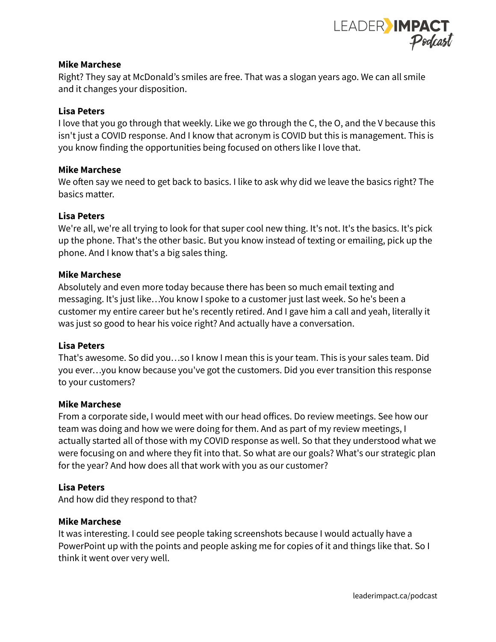

#### **Mike Marchese**

Right? They say at McDonald's smiles are free. That was a slogan years ago. We can all smile and it changes your disposition.

# **Lisa Peters**

I love that you go through that weekly. Like we go through the C, the O, and the V because this isn't just a COVID response. And I know that acronym is COVID but this is management. This is you know finding the opportunities being focused on others like I love that.

### **Mike Marchese**

We often say we need to get back to basics. I like to ask why did we leave the basics right? The basics matter.

### **Lisa Peters**

We're all, we're all trying to look for that super cool new thing. It's not. It's the basics. It's pick up the phone. That's the other basic. But you know instead of texting or emailing, pick up the phone. And I know that's a big sales thing.

### **Mike Marchese**

Absolutely and even more today because there has been so much email texting and messaging. It's just like…You know I spoke to a customer just last week. So he's been a customer my entire career but he's recently retired. And I gave him a call and yeah, literally it was just so good to hear his voice right? And actually have a conversation.

#### **Lisa Peters**

That's awesome. So did you…so I know I mean this is your team. This is your sales team. Did you ever…you know because you've got the customers. Did you ever transition this response to your customers?

#### **Mike Marchese**

From a corporate side, I would meet with our head offices. Do review meetings. See how our team was doing and how we were doing for them. And as part of my review meetings, I actually started all of those with my COVID response as well. So that they understood what we were focusing on and where they fit into that. So what are our goals? What's our strategic plan for the year? And how does all that work with you as our customer?

#### **Lisa Peters**

And how did they respond to that?

#### **Mike Marchese**

It was interesting. I could see people taking screenshots because I would actually have a PowerPoint up with the points and people asking me for copies of it and things like that. So I think it went over very well.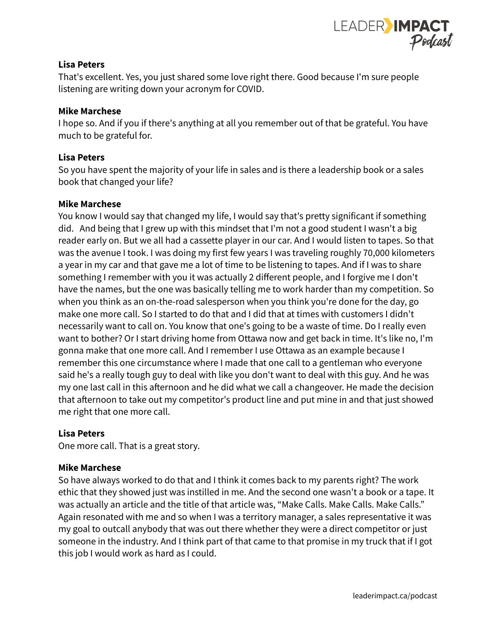

That's excellent. Yes, you just shared some love right there. Good because I'm sure people listening are writing down your acronym for COVID.

#### **Mike Marchese**

I hope so. And if you if there's anything at all you remember out of that be grateful. You have much to be grateful for.

## **Lisa Peters**

So you have spent the majority of your life in sales and is there a leadership book or a sales book that changed your life?

#### **Mike Marchese**

You know I would say that changed my life, I would say that's pretty significant if something did. And being that I grew up with this mindset that I'm not a good student I wasn't a big reader early on. But we all had a cassette player in our car. And I would listen to tapes. So that was the avenue I took. I was doing my first few years I was traveling roughly 70,000 kilometers a year in my car and that gave me a lot of time to be listening to tapes. And if I was to share something I remember with you it was actually 2 different people, and I forgive me I don't have the names, but the one was basically telling me to work harder than my competition. So when you think as an on-the-road salesperson when you think you're done for the day, go make one more call. So I started to do that and I did that at times with customers I didn't necessarily want to call on. You know that one's going to be a waste of time. Do I really even want to bother? Or I start driving home from Ottawa now and get back in time. It's like no, I'm gonna make that one more call. And I remember I use Ottawa as an example because I remember this one circumstance where I made that one call to a gentleman who everyone said he's a really tough guy to deal with like you don't want to deal with this guy. And he was my one last call in this afternoon and he did what we call a changeover. He made the decision that afternoon to take out my competitor's product line and put mine in and that just showed me right that one more call.

#### **Lisa Peters**

One more call. That is a great story.

#### **Mike Marchese**

So have always worked to do that and I think it comes back to my parents right? The work ethic that they showed just was instilled in me. And the second one wasn't a book or a tape. It was actually an article and the title of that article was, "Make Calls. Make Calls. Make Calls." Again resonated with me and so when I was a territory manager, a sales representative it was my goal to outcall anybody that was out there whether they were a direct competitor or just someone in the industry. And I think part of that came to that promise in my truck that if I got this job I would work as hard as I could.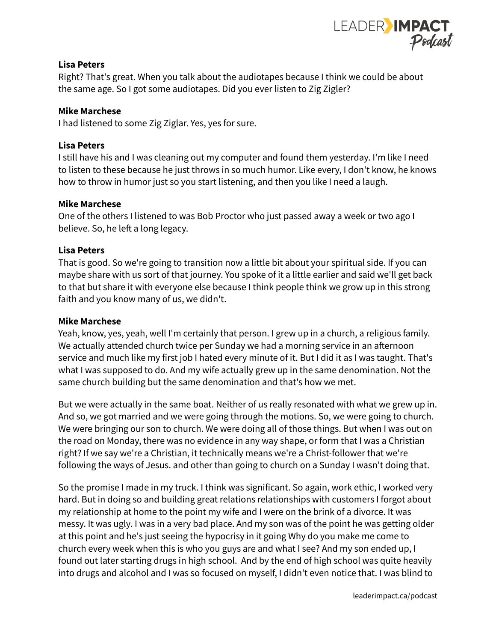

Right? That's great. When you talk about the audiotapes because I think we could be about the same age. So I got some audiotapes. Did you ever listen to Zig Zigler?

# **Mike Marchese**

I had listened to some Zig Ziglar. Yes, yes for sure.

# **Lisa Peters**

I still have his and I was cleaning out my computer and found them yesterday. I'm like I need to listen to these because he just throws in so much humor. Like every, I don't know, he knows how to throw in humor just so you start listening, and then you like I need a laugh.

# **Mike Marchese**

One of the others I listened to was Bob Proctor who just passed away a week or two ago I believe. So, he left a long legacy.

# **Lisa Peters**

That is good. So we're going to transition now a little bit about your spiritual side. If you can maybe share with us sort of that journey. You spoke of it a little earlier and said we'll get back to that but share it with everyone else because I think people think we grow up in this strong faith and you know many of us, we didn't.

# **Mike Marchese**

Yeah, know, yes, yeah, well I'm certainly that person. I grew up in a church, a religious family. We actually attended church twice per Sunday we had a morning service in an afternoon service and much like my first job I hated every minute of it. But I did it as I was taught. That's what I was supposed to do. And my wife actually grew up in the same denomination. Not the same church building but the same denomination and that's how we met.

But we were actually in the same boat. Neither of us really resonated with what we grew up in. And so, we got married and we were going through the motions. So, we were going to church. We were bringing our son to church. We were doing all of those things. But when I was out on the road on Monday, there was no evidence in any way shape, or form that I was a Christian right? If we say we're a Christian, it technically means we're a Christ-follower that we're following the ways of Jesus. and other than going to church on a Sunday I wasn't doing that.

So the promise I made in my truck. I think was significant. So again, work ethic, I worked very hard. But in doing so and building great relations relationships with customers I forgot about my relationship at home to the point my wife and I were on the brink of a divorce. It was messy. It was ugly. I was in a very bad place. And my son was of the point he was getting older at this point and he's just seeing the hypocrisy in it going Why do you make me come to church every week when this is who you guys are and what I see? And my son ended up, I found out later starting drugs in high school. And by the end of high school was quite heavily into drugs and alcohol and I was so focused on myself, I didn't even notice that. I was blind to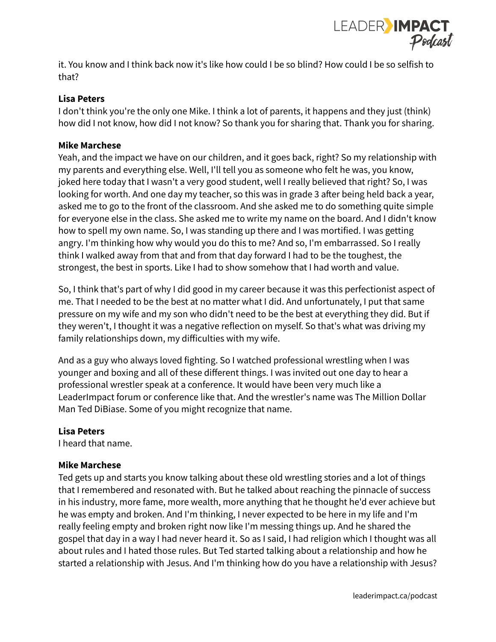

it. You know and I think back now it's like how could I be so blind? How could I be so selfish to that?

# **Lisa Peters**

I don't think you're the only one Mike. I think a lot of parents, it happens and they just (think) how did I not know, how did I not know? So thank you for sharing that. Thank you for sharing.

# **Mike Marchese**

Yeah, and the impact we have on our children, and it goes back, right? So my relationship with my parents and everything else. Well, I'll tell you as someone who felt he was, you know, joked here today that I wasn't a very good student, well I really believed that right? So, I was looking for worth. And one day my teacher, so this was in grade 3 after being held back a year, asked me to go to the front of the classroom. And she asked me to do something quite simple for everyone else in the class. She asked me to write my name on the board. And I didn't know how to spell my own name. So, I was standing up there and I was mortified. I was getting angry. I'm thinking how why would you do this to me? And so, I'm embarrassed. So I really think I walked away from that and from that day forward I had to be the toughest, the strongest, the best in sports. Like I had to show somehow that I had worth and value.

So, I think that's part of why I did good in my career because it was this perfectionist aspect of me. That I needed to be the best at no matter what I did. And unfortunately, I put that same pressure on my wife and my son who didn't need to be the best at everything they did. But if they weren't, I thought it was a negative reflection on myself. So that's what was driving my family relationships down, my difficulties with my wife.

And as a guy who always loved fighting. So I watched professional wrestling when I was younger and boxing and all of these different things. I was invited out one day to hear a professional wrestler speak at a conference. It would have been very much like a LeaderImpact forum or conference like that. And the wrestler's name was The Million Dollar Man Ted DiBiase. Some of you might recognize that name.

# **Lisa Peters**

I heard that name.

# **Mike Marchese**

Ted gets up and starts you know talking about these old wrestling stories and a lot of things that I remembered and resonated with. But he talked about reaching the pinnacle of success in his industry, more fame, more wealth, more anything that he thought he'd ever achieve but he was empty and broken. And I'm thinking, I never expected to be here in my life and I'm really feeling empty and broken right now like I'm messing things up. And he shared the gospel that day in a way I had never heard it. So as I said, I had religion which I thought was all about rules and I hated those rules. But Ted started talking about a relationship and how he started a relationship with Jesus. And I'm thinking how do you have a relationship with Jesus?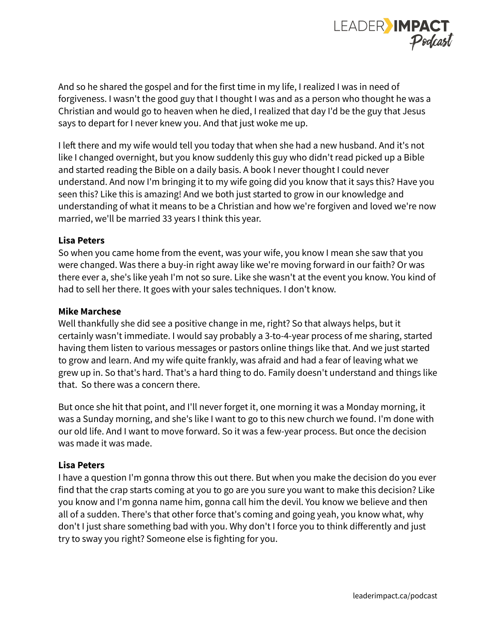

And so he shared the gospel and for the first time in my life, I realized I was in need of forgiveness. I wasn't the good guy that I thought I was and as a person who thought he was a Christian and would go to heaven when he died, I realized that day I'd be the guy that Jesus says to depart for I never knew you. And that just woke me up.

I left there and my wife would tell you today that when she had a new husband. And it's not like I changed overnight, but you know suddenly this guy who didn't read picked up a Bible and started reading the Bible on a daily basis. A book I never thought I could never understand. And now I'm bringing it to my wife going did you know that it says this? Have you seen this? Like this is amazing! And we both just started to grow in our knowledge and understanding of what it means to be a Christian and how we're forgiven and loved we're now married, we'll be married 33 years I think this year.

### **Lisa Peters**

So when you came home from the event, was your wife, you know I mean she saw that you were changed. Was there a buy-in right away like we're moving forward in our faith? Or was there ever a, she's like yeah I'm not so sure. Like she wasn't at the event you know. You kind of had to sell her there. It goes with your sales techniques. I don't know.

#### **Mike Marchese**

Well thankfully she did see a positive change in me, right? So that always helps, but it certainly wasn't immediate. I would say probably a 3-to-4-year process of me sharing, started having them listen to various messages or pastors online things like that. And we just started to grow and learn. And my wife quite frankly, was afraid and had a fear of leaving what we grew up in. So that's hard. That's a hard thing to do. Family doesn't understand and things like that. So there was a concern there.

But once she hit that point, and I'll never forget it, one morning it was a Monday morning, it was a Sunday morning, and she's like I want to go to this new church we found. I'm done with our old life. And I want to move forward. So it was a few-year process. But once the decision was made it was made.

# **Lisa Peters**

I have a question I'm gonna throw this out there. But when you make the decision do you ever find that the crap starts coming at you to go are you sure you want to make this decision? Like you know and I'm gonna name him, gonna call him the devil. You know we believe and then all of a sudden. There's that other force that's coming and going yeah, you know what, why don't I just share something bad with you. Why don't I force you to think differently and just try to sway you right? Someone else is fighting for you.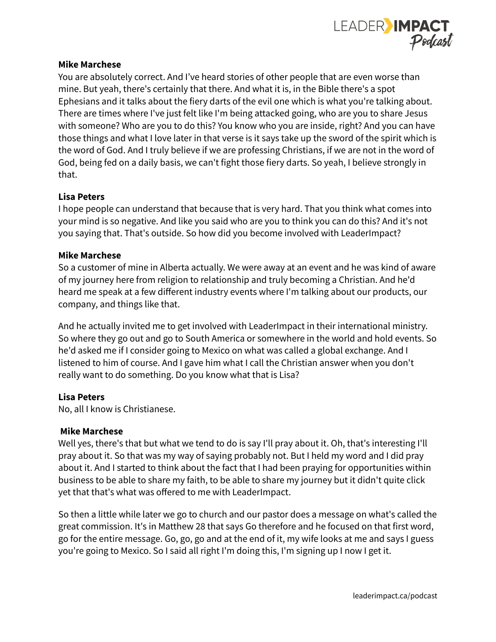

### **Mike Marchese**

You are absolutely correct. And I've heard stories of other people that are even worse than mine. But yeah, there's certainly that there. And what it is, in the Bible there's a spot Ephesians and it talks about the fiery darts of the evil one which is what you're talking about. There are times where I've just felt like I'm being attacked going, who are you to share Jesus with someone? Who are you to do this? You know who you are inside, right? And you can have those things and what I love later in that verse is it says take up the sword of the spirit which is the word of God. And I truly believe if we are professing Christians, if we are not in the word of God, being fed on a daily basis, we can't fight those fiery darts. So yeah, I believe strongly in that.

# **Lisa Peters**

I hope people can understand that because that is very hard. That you think what comes into your mind is so negative. And like you said who are you to think you can do this? And it's not you saying that. That's outside. So how did you become involved with LeaderImpact?

### **Mike Marchese**

So a customer of mine in Alberta actually. We were away at an event and he was kind of aware of my journey here from religion to relationship and truly becoming a Christian. And he'd heard me speak at a few different industry events where I'm talking about our products, our company, and things like that.

And he actually invited me to get involved with LeaderImpact in their international ministry. So where they go out and go to South America or somewhere in the world and hold events. So he'd asked me if I consider going to Mexico on what was called a global exchange. And I listened to him of course. And I gave him what I call the Christian answer when you don't really want to do something. Do you know what that is Lisa?

# **Lisa Peters**

No, all I know is Christianese.

#### **Mike Marchese**

Well yes, there's that but what we tend to do is say I'll pray about it. Oh, that's interesting I'll pray about it. So that was my way of saying probably not. But I held my word and I did pray about it. And I started to think about the fact that I had been praying for opportunities within business to be able to share my faith, to be able to share my journey but it didn't quite click yet that that's what was offered to me with LeaderImpact.

So then a little while later we go to church and our pastor does a message on what's called the great commission. It's in Matthew 28 that says Go therefore and he focused on that first word, go for the entire message. Go, go, go and at the end of it, my wife looks at me and says I guess you're going to Mexico. So I said all right I'm doing this, I'm signing up I now I get it.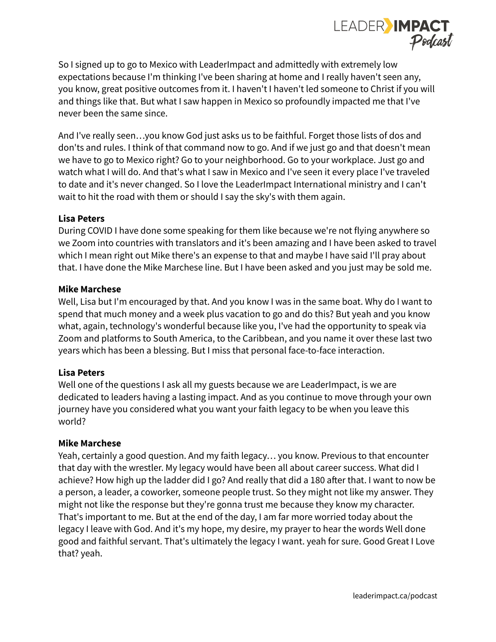

So I signed up to go to Mexico with LeaderImpact and admittedly with extremely low expectations because I'm thinking I've been sharing at home and I really haven't seen any, you know, great positive outcomes from it. I haven't I haven't led someone to Christ if you will and things like that. But what I saw happen in Mexico so profoundly impacted me that I've never been the same since.

And I've really seen…you know God just asks us to be faithful. Forget those lists of dos and don'ts and rules. I think of that command now to go. And if we just go and that doesn't mean we have to go to Mexico right? Go to your neighborhood. Go to your workplace. Just go and watch what I will do. And that's what I saw in Mexico and I've seen it every place I've traveled to date and it's never changed. So I love the LeaderImpact International ministry and I can't wait to hit the road with them or should I say the sky's with them again.

### **Lisa Peters**

During COVID I have done some speaking for them like because we're not flying anywhere so we Zoom into countries with translators and it's been amazing and I have been asked to travel which I mean right out Mike there's an expense to that and maybe I have said I'll pray about that. I have done the Mike Marchese line. But I have been asked and you just may be sold me.

### **Mike Marchese**

Well, Lisa but I'm encouraged by that. And you know I was in the same boat. Why do I want to spend that much money and a week plus vacation to go and do this? But yeah and you know what, again, technology's wonderful because like you, I've had the opportunity to speak via Zoom and platforms to South America, to the Caribbean, and you name it over these last two years which has been a blessing. But I miss that personal face-to-face interaction.

# **Lisa Peters**

Well one of the questions I ask all my guests because we are LeaderImpact, is we are dedicated to leaders having a lasting impact. And as you continue to move through your own journey have you considered what you want your faith legacy to be when you leave this world?

#### **Mike Marchese**

Yeah, certainly a good question. And my faith legacy… you know. Previous to that encounter that day with the wrestler. My legacy would have been all about career success. What did I achieve? How high up the ladder did I go? And really that did a 180 after that. I want to now be a person, a leader, a coworker, someone people trust. So they might not like my answer. They might not like the response but they're gonna trust me because they know my character. That's important to me. But at the end of the day, I am far more worried today about the legacy I leave with God. And it's my hope, my desire, my prayer to hear the words Well done good and faithful servant. That's ultimately the legacy I want. yeah for sure. Good Great I Love that? yeah.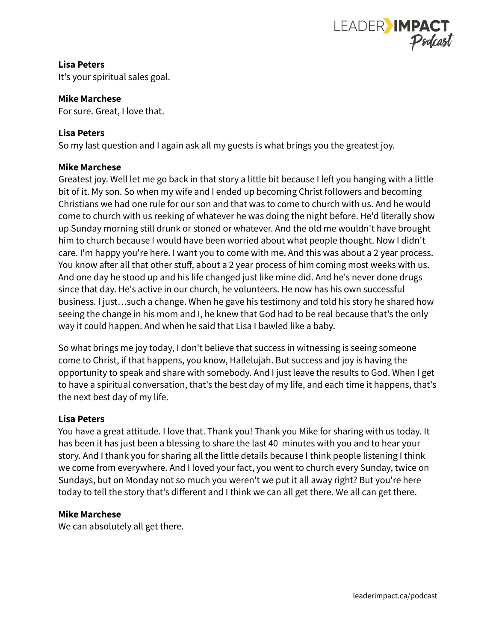

**Lisa Peters** It's your spiritual sales goal.

#### **Mike Marchese**

For sure. Great, I love that.

# **Lisa Peters**

So my last question and I again ask all my guests is what brings you the greatest joy.

### **Mike Marchese**

Greatest joy. Well let me go back in that story a little bit because I left you hanging with a little bit of it. My son. So when my wife and I ended up becoming Christ followers and becoming Christians we had one rule for our son and that was to come to church with us. And he would come to church with us reeking of whatever he was doing the night before. He'd literally show up Sunday morning still drunk or stoned or whatever. And the old me wouldn't have brought him to church because I would have been worried about what people thought. Now I didn't care. I'm happy you're here. I want you to come with me. And this was about a 2 year process. You know after all that other stuff, about a 2 year process of him coming most weeks with us. And one day he stood up and his life changed just like mine did. And he's never done drugs since that day. He's active in our church, he volunteers. He now has his own successful business. I just…such a change. When he gave his testimony and told his story he shared how seeing the change in his mom and I, he knew that God had to be real because that's the only way it could happen. And when he said that Lisa I bawled like a baby.

So what brings me joy today, I don't believe that success in witnessing is seeing someone come to Christ, if that happens, you know, Hallelujah. But success and joy is having the opportunity to speak and share with somebody. And I just leave the results to God. When I get to have a spiritual conversation, that's the best day of my life, and each time it happens, that's the next best day of my life.

# **Lisa Peters**

You have a great attitude. I love that. Thank you! Thank you Mike for sharing with us today. It has been it has just been a blessing to share the last 40 minutes with you and to hear your story. And I thank you for sharing all the little details because I think people listening I think we come from everywhere. And I loved your fact, you went to church every Sunday, twice on Sundays, but on Monday not so much you weren't we put it all away right? But you're here today to tell the story that's different and I think we can all get there. We all can get there.

# **Mike Marchese**

We can absolutely all get there.